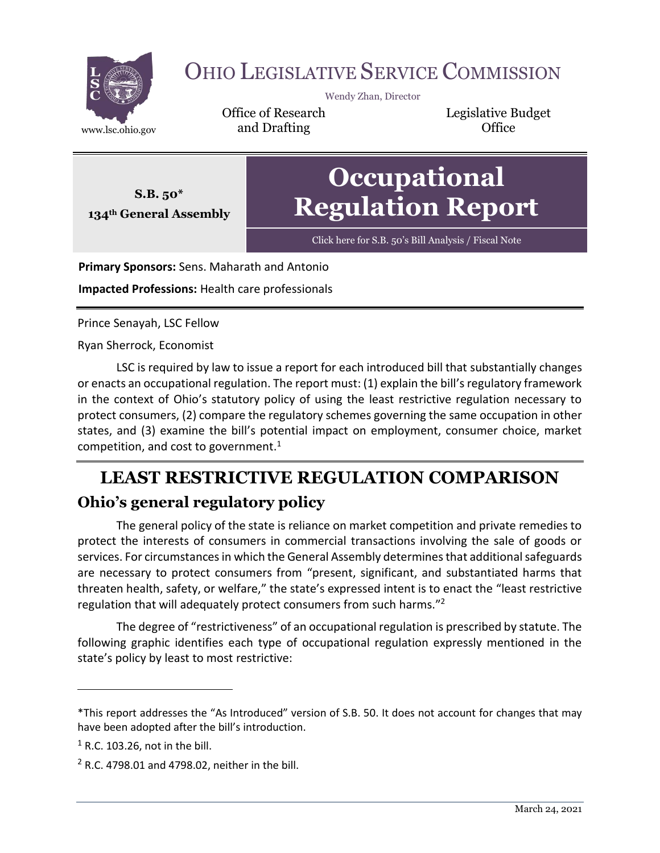

# OHIO LEGISLATIVE SERVICE COMMISSION

Wendy Zhan, Director

Office of Research www.lsc.ohio.gov **and Drafting Construction Office** 

Legislative Budget

**Occupational Regulation Report**

Click here for S.B. 50'[s Bill Analysis / Fiscal Note](https://www.legislature.ohio.gov/legislation/legislation-documents?id=GA134-SB-50)

**Primary Sponsors:** Sens. Maharath and Antonio

**Impacted Professions:** Health care professionals

Prince Senayah, LSC Fellow

**S.B. 50\* 134th General Assembly**

Ryan Sherrock, Economist

LSC is required by law to issue a report for each introduced bill that substantially changes or enacts an occupational regulation. The report must: (1) explain the bill's regulatory framework in the context of Ohio's statutory policy of using the least restrictive regulation necessary to protect consumers, (2) compare the regulatory schemes governing the same occupation in other states, and (3) examine the bill's potential impact on employment, consumer choice, market competition, and cost to government. $1$ 

## **LEAST RESTRICTIVE REGULATION COMPARISON Ohio's general regulatory policy**

The general policy of the state is reliance on market competition and private remedies to protect the interests of consumers in commercial transactions involving the sale of goods or services. For circumstances in which the General Assembly determines that additional safeguards are necessary to protect consumers from "present, significant, and substantiated harms that threaten health, safety, or welfare," the state's expressed intent is to enact the "least restrictive regulation that will adequately protect consumers from such harms."<sup>2</sup>

The degree of "restrictiveness" of an occupational regulation is prescribed by statute. The following graphic identifies each type of occupational regulation expressly mentioned in the state's policy by least to most restrictive:

<sup>\*</sup>This report addresses the "As Introduced" version of S.B. 50. It does not account for changes that may have been adopted after the bill's introduction.

 $<sup>1</sup>$  R.C. 103.26, not in the bill.</sup>

 $2$  R.C. 4798.01 and 4798.02, neither in the bill.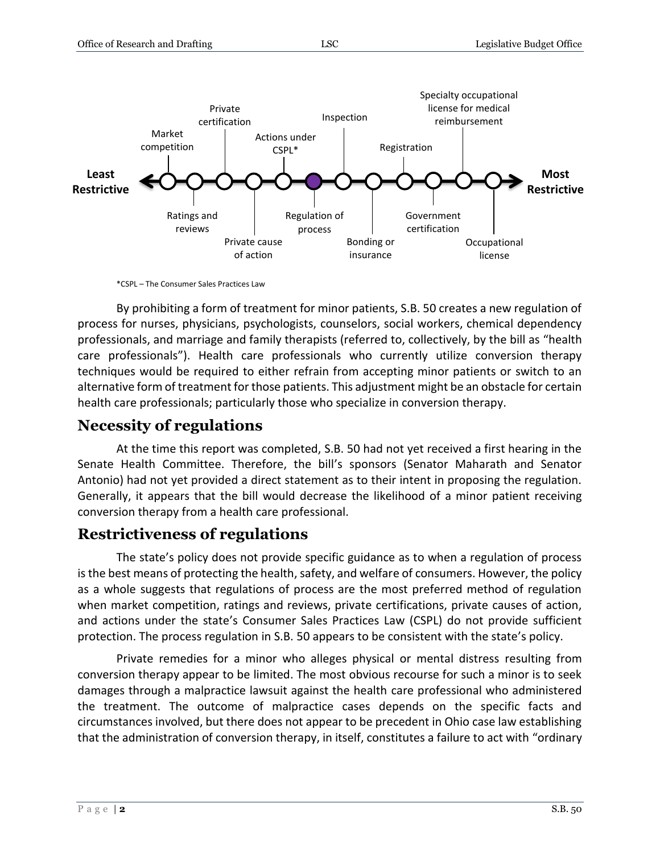

\*CSPL – The Consumer Sales Practices Law

By prohibiting a form of treatment for minor patients, S.B. 50 creates a new regulation of process for nurses, physicians, psychologists, counselors, social workers, chemical dependency professionals, and marriage and family therapists (referred to, collectively, by the bill as "health care professionals"). Health care professionals who currently utilize conversion therapy techniques would be required to either refrain from accepting minor patients or switch to an alternative form of treatment for those patients. This adjustment might be an obstacle for certain health care professionals; particularly those who specialize in conversion therapy.

### **Necessity of regulations**

At the time this report was completed, S.B. 50 had not yet received a first hearing in the Senate Health Committee. Therefore, the bill's sponsors (Senator Maharath and Senator Antonio) had not yet provided a direct statement as to their intent in proposing the regulation. Generally, it appears that the bill would decrease the likelihood of a minor patient receiving conversion therapy from a health care professional.

#### **Restrictiveness of regulations**

The state's policy does not provide specific guidance as to when a regulation of process is the best means of protecting the health, safety, and welfare of consumers. However, the policy as a whole suggests that regulations of process are the most preferred method of regulation when market competition, ratings and reviews, private certifications, private causes of action, and actions under the state's Consumer Sales Practices Law (CSPL) do not provide sufficient protection. The process regulation in S.B. 50 appears to be consistent with the state's policy.

Private remedies for a minor who alleges physical or mental distress resulting from conversion therapy appear to be limited. The most obvious recourse for such a minor is to seek damages through a malpractice lawsuit against the health care professional who administered the treatment. The outcome of malpractice cases depends on the specific facts and circumstances involved, but there does not appear to be precedent in Ohio case law establishing that the administration of conversion therapy, in itself, constitutes a failure to act with "ordinary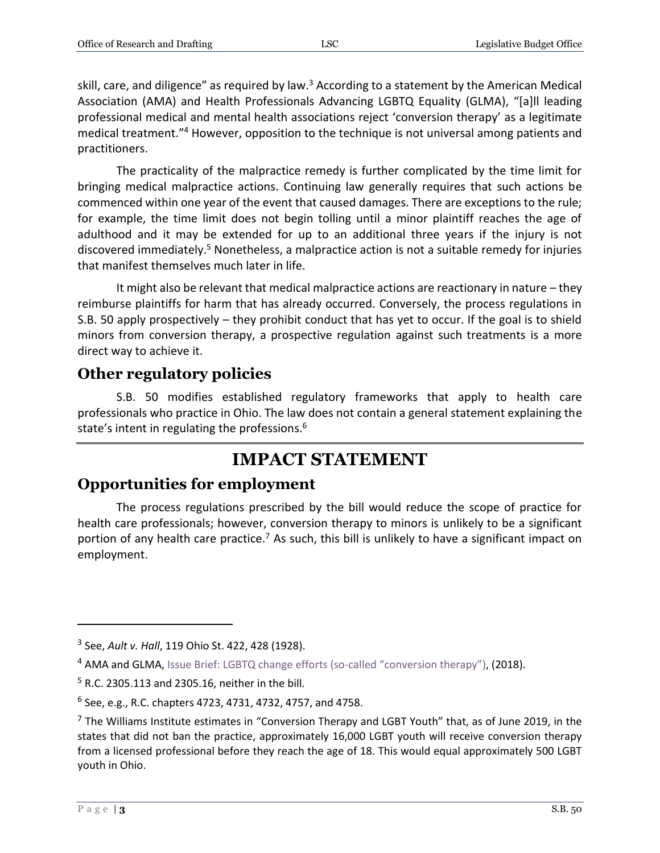skill, care, and diligence" as required by law.<sup>3</sup> According to a statement by the American Medical Association (AMA) and Health Professionals Advancing LGBTQ Equality (GLMA), "[a]ll leading professional medical and mental health associations reject 'conversion therapy' as a legitimate medical treatment." <sup>4</sup> However, opposition to the technique is not universal among patients and practitioners.

The practicality of the malpractice remedy is further complicated by the time limit for bringing medical malpractice actions. Continuing law generally requires that such actions be commenced within one year of the event that caused damages. There are exceptions to the rule; for example, the time limit does not begin tolling until a minor plaintiff reaches the age of adulthood and it may be extended for up to an additional three years if the injury is not discovered immediately.<sup>5</sup> Nonetheless, a malpractice action is not a suitable remedy for injuries that manifest themselves much later in life.

It might also be relevant that medical malpractice actions are reactionary in nature – they reimburse plaintiffs for harm that has already occurred. Conversely, the process regulations in S.B. 50 apply prospectively – they prohibit conduct that has yet to occur. If the goal is to shield minors from conversion therapy, a prospective regulation against such treatments is a more direct way to achieve it.

#### **Other regulatory policies**

S.B. 50 modifies established regulatory frameworks that apply to health care professionals who practice in Ohio. The law does not contain a general statement explaining the state's intent in regulating the professions.<sup>6</sup>

## **IMPACT STATEMENT**

### **Opportunities for employment**

The process regulations prescribed by the bill would reduce the scope of practice for health care professionals; however, conversion therapy to minors is unlikely to be a significant portion of any health care practice.<sup>7</sup> As such, this bill is unlikely to have a significant impact on employment.

<sup>3</sup> See, *Ault v. Hall*, 119 Ohio St. 422, 428 (1928).

<sup>&</sup>lt;sup>4</sup> AMA and GLMA, [Issue Brief: LGBTQ change efforts \(so-called](https://www.ama-assn.org/system/files/2019-12/conversion-therapy-issue-brief.pdf) "conversion therapy"), (2018).

<sup>5</sup> R.C. 2305.113 and 2305.16, neither in the bill.

<sup>6</sup> See, e.g., R.C. chapters 4723, 4731, 4732, 4757, and 4758.

 $<sup>7</sup>$  The Williams Institute estimates in "Conversion Therapy and LGBT Youth" that, as of June 2019, in the</sup> states that did not ban the practice, approximately 16,000 LGBT youth will receive conversion therapy from a licensed professional before they reach the age of 18. This would equal approximately 500 LGBT youth in Ohio.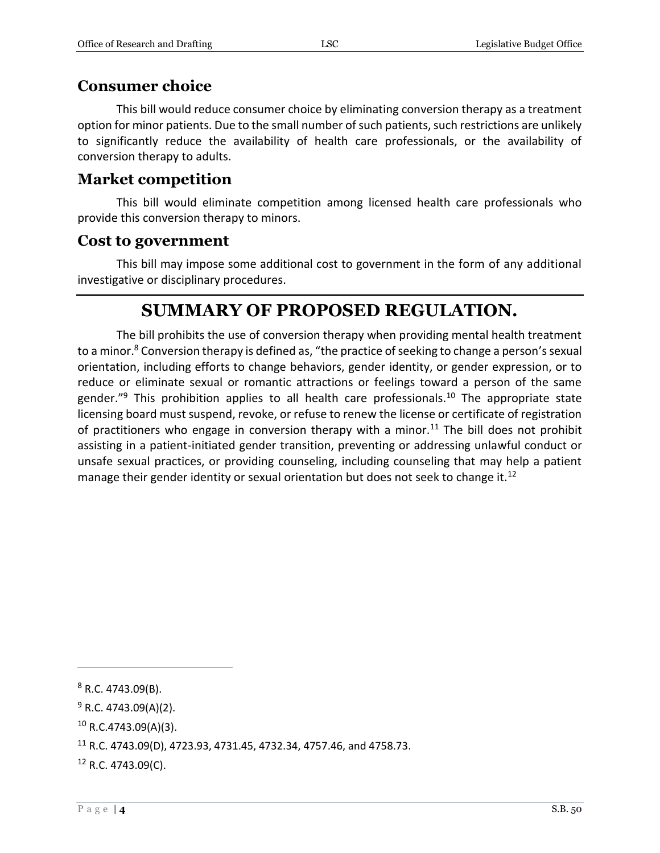#### **Consumer choice**

This bill would reduce consumer choice by eliminating conversion therapy as a treatment option for minor patients. Due to the small number of such patients, such restrictions are unlikely to significantly reduce the availability of health care professionals, or the availability of conversion therapy to adults.

#### **Market competition**

This bill would eliminate competition among licensed health care professionals who provide this conversion therapy to minors.

#### **Cost to government**

This bill may impose some additional cost to government in the form of any additional investigative or disciplinary procedures.

### **SUMMARY OF PROPOSED REGULATION.**

The bill prohibits the use of conversion therapy when providing mental health treatment to a minor.<sup>8</sup> Conversion therapy is defined as, "the practice of seeking to change a person's sexual orientation, including efforts to change behaviors, gender identity, or gender expression, or to reduce or eliminate sexual or romantic attractions or feelings toward a person of the same gender."<sup>9</sup> This prohibition applies to all health care professionals.<sup>10</sup> The appropriate state licensing board must suspend, revoke, or refuse to renew the license or certificate of registration of practitioners who engage in conversion therapy with a minor.<sup>11</sup> The bill does not prohibit assisting in a patient-initiated gender transition, preventing or addressing unlawful conduct or unsafe sexual practices, or providing counseling, including counseling that may help a patient manage their gender identity or sexual orientation but does not seek to change it.<sup>12</sup>

<sup>8</sup> R.C. 4743.09(B).

 $9$  R.C. 4743.09(A)(2).

 $10$  R.C.4743.09(A)(3).

<sup>11</sup> R.C. 4743.09(D), 4723.93, 4731.45, 4732.34, 4757.46, and 4758.73.

<sup>12</sup> R.C. 4743.09(C).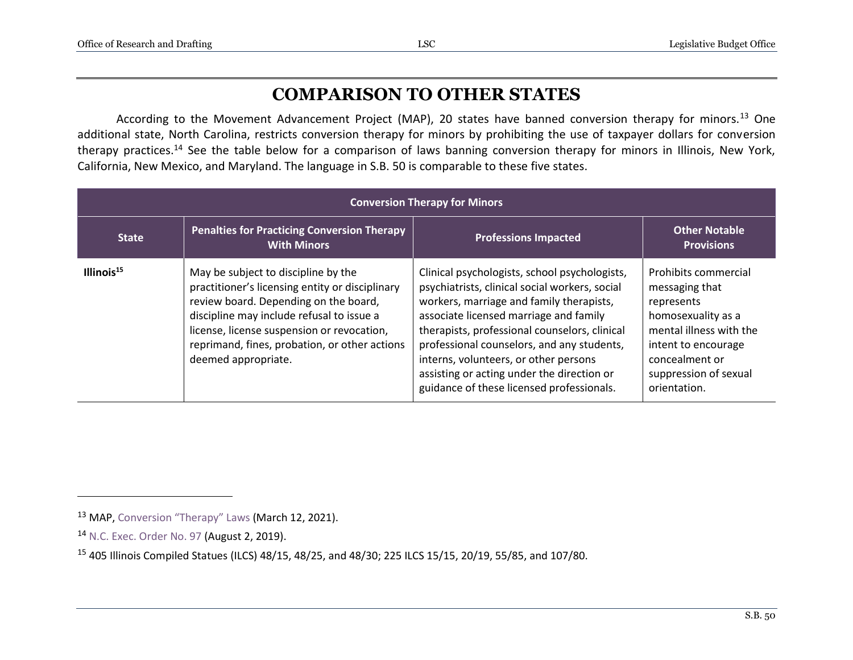## **COMPARISON TO OTHER STATES**

According to the Movement Advancement Project (MAP), 20 states have banned conversion therapy for minors.<sup>13</sup> One additional state, North Carolina, restricts conversion therapy for minors by prohibiting the use of taxpayer dollars for conversion therapy practices.<sup>14</sup> See the table below for a comparison of laws banning conversion therapy for minors in Illinois, New York, California, New Mexico, and Maryland. The language in S.B. 50 is comparable to these five states.

| <b>Conversion Therapy for Minors</b> |                                                                                                                                                                                                                                                                                                    |                                                                                                                                                                                                                                                                                                                                                                                                                          |                                                                                                                                                                                         |  |  |
|--------------------------------------|----------------------------------------------------------------------------------------------------------------------------------------------------------------------------------------------------------------------------------------------------------------------------------------------------|--------------------------------------------------------------------------------------------------------------------------------------------------------------------------------------------------------------------------------------------------------------------------------------------------------------------------------------------------------------------------------------------------------------------------|-----------------------------------------------------------------------------------------------------------------------------------------------------------------------------------------|--|--|
| <b>State</b>                         | <b>Penalties for Practicing Conversion Therapy</b><br><b>With Minors</b>                                                                                                                                                                                                                           | <b>Professions Impacted</b>                                                                                                                                                                                                                                                                                                                                                                                              | <b>Other Notable</b><br><b>Provisions</b>                                                                                                                                               |  |  |
| Illinois $15$                        | May be subject to discipline by the<br>practitioner's licensing entity or disciplinary<br>review board. Depending on the board,<br>discipline may include refusal to issue a<br>license, license suspension or revocation,<br>reprimand, fines, probation, or other actions<br>deemed appropriate. | Clinical psychologists, school psychologists,<br>psychiatrists, clinical social workers, social<br>workers, marriage and family therapists,<br>associate licensed marriage and family<br>therapists, professional counselors, clinical<br>professional counselors, and any students,<br>interns, volunteers, or other persons<br>assisting or acting under the direction or<br>guidance of these licensed professionals. | Prohibits commercial<br>messaging that<br>represents<br>homosexuality as a<br>mental illness with the<br>intent to encourage<br>concealment or<br>suppression of sexual<br>orientation. |  |  |

<sup>&</sup>lt;sup>13</sup> MAP, [Conversion](https://www.lgbtmap.org/equality-maps/conversion_therapy) "Therapy" Laws (March 12, 2021).

<sup>14</sup> [N.C. Exec. Order No. 97](https://files.nc.gov/governor/documents/files/EO_97_Protecting_Minors_from_Conversion_Therapy.pdf) (August 2, 2019).

<sup>15</sup> 405 Illinois Compiled Statues (ILCS) 48/15, 48/25, and 48/30; 225 ILCS 15/15, 20/19, 55/85, and 107/80.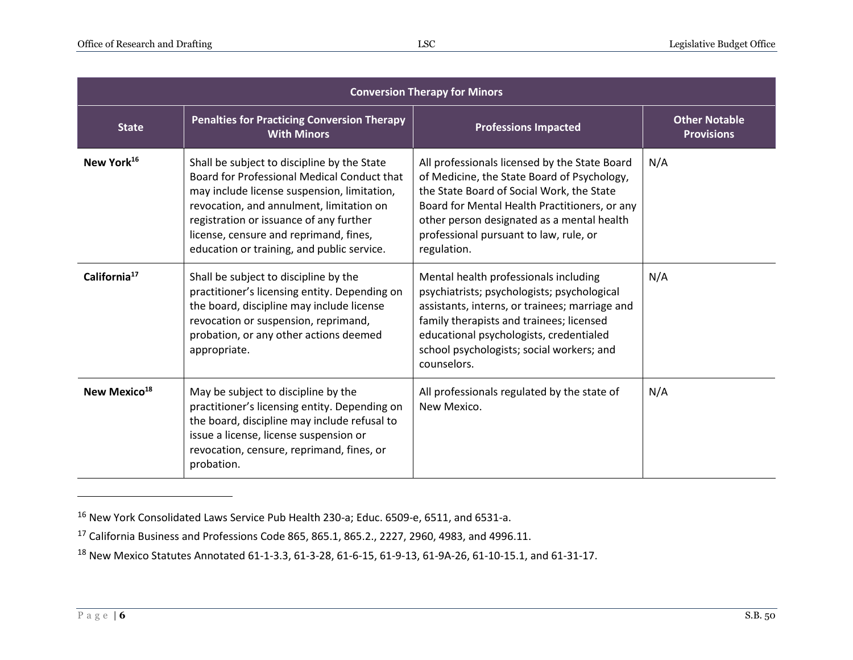| <b>Conversion Therapy for Minors</b> |                                                                                                                                                                                                                                                                                                                          |                                                                                                                                                                                                                                                                                                   |                                           |  |  |
|--------------------------------------|--------------------------------------------------------------------------------------------------------------------------------------------------------------------------------------------------------------------------------------------------------------------------------------------------------------------------|---------------------------------------------------------------------------------------------------------------------------------------------------------------------------------------------------------------------------------------------------------------------------------------------------|-------------------------------------------|--|--|
| <b>State</b>                         | <b>Penalties for Practicing Conversion Therapy</b><br><b>With Minors</b>                                                                                                                                                                                                                                                 | <b>Professions Impacted</b>                                                                                                                                                                                                                                                                       | <b>Other Notable</b><br><b>Provisions</b> |  |  |
| New York <sup>16</sup>               | Shall be subject to discipline by the State<br>Board for Professional Medical Conduct that<br>may include license suspension, limitation,<br>revocation, and annulment, limitation on<br>registration or issuance of any further<br>license, censure and reprimand, fines,<br>education or training, and public service. | All professionals licensed by the State Board<br>of Medicine, the State Board of Psychology,<br>the State Board of Social Work, the State<br>Board for Mental Health Practitioners, or any<br>other person designated as a mental health<br>professional pursuant to law, rule, or<br>regulation. | N/A                                       |  |  |
| California <sup>17</sup>             | Shall be subject to discipline by the<br>practitioner's licensing entity. Depending on<br>the board, discipline may include license<br>revocation or suspension, reprimand,<br>probation, or any other actions deemed<br>appropriate.                                                                                    | Mental health professionals including<br>psychiatrists; psychologists; psychological<br>assistants, interns, or trainees; marriage and<br>family therapists and trainees; licensed<br>educational psychologists, credentialed<br>school psychologists; social workers; and<br>counselors.         | N/A                                       |  |  |
| New Mexico <sup>18</sup>             | May be subject to discipline by the<br>practitioner's licensing entity. Depending on<br>the board, discipline may include refusal to<br>issue a license, license suspension or<br>revocation, censure, reprimand, fines, or<br>probation.                                                                                | All professionals regulated by the state of<br>New Mexico.                                                                                                                                                                                                                                        | N/A                                       |  |  |

<sup>16</sup> New York Consolidated Laws Service Pub Health 230-a; Educ. 6509-e, 6511, and 6531-a.

<sup>17</sup> California Business and Professions Code 865, 865.1, 865.2., 2227, 2960, 4983, and 4996.11.

<sup>18</sup> New Mexico Statutes Annotated 61-1-3.3, 61-3-28, 61-6-15, 61-9-13, 61-9A-26, 61-10-15.1, and 61-31-17.